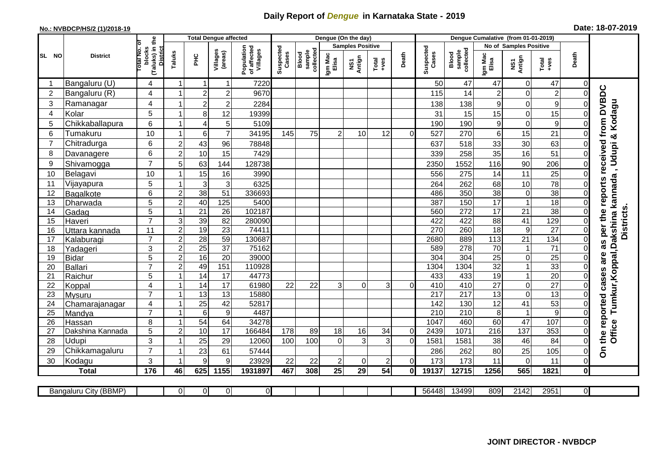## **Daily Report of** *Dengue* **in Karnataka State - 2019**

## **No.: NVBDCP/HS/2 (1)/2018-19 Date: 18-07-2019**

|                 |                       |                                                             | <b>Total Dengue affected</b> |                 |                     |                                       |                    |                              |                         | Dengue (On the day) |          |                |                    |                              |                               |                  |                                                                      |                |                                  |
|-----------------|-----------------------|-------------------------------------------------------------|------------------------------|-----------------|---------------------|---------------------------------------|--------------------|------------------------------|-------------------------|---------------------|----------|----------------|--------------------|------------------------------|-------------------------------|------------------|----------------------------------------------------------------------|----------------|----------------------------------|
|                 | <b>District</b>       |                                                             |                              |                 |                     |                                       |                    |                              | <b>Samples Positive</b> |                     |          |                |                    |                              | <b>No of Samples Positive</b> |                  |                                                                      |                |                                  |
| SL NO           |                       | (Taluks) in the<br>otal No. of<br>blocks<br><b>District</b> | Taluks                       | Ξ               | Villages<br>(areas) | Population<br>of affected<br>Villages | Suspected<br>Cases | sample<br>collected<br>Blood | Igm Mac<br>Elisa        | NS1<br>Antign       | $Totael$ | Death          | Suspected<br>Cases | collected<br>sample<br>Blood | Igm Mac<br>Elisa              | NS1<br>Antign    | $\begin{array}{c}\n\text{Total} \\ \text{1} & \text{1}\n\end{array}$ | Death          |                                  |
|                 | Bangaluru (U)         | 4                                                           |                              |                 | 1                   | 7220                                  |                    |                              |                         |                     |          |                | 50                 | 47                           | 47                            | $\mathbf 0$      | 47                                                                   | $\Omega$       |                                  |
| $\overline{2}$  | Bangaluru (R)         | 4                                                           |                              | $\overline{2}$  | $\overline{c}$      | 9670                                  |                    |                              |                         |                     |          |                | 115                | 14                           | $\boldsymbol{2}$              | $\mathbf 0$      | $\overline{c}$                                                       | $\Omega$       |                                  |
| 3               | Ramanagar             | 4                                                           |                              | $\overline{c}$  | $\overline{c}$      | 2284                                  |                    |                              |                         |                     |          |                | 138                | 138                          | 9                             | $\mathbf 0$      | $\mathbf 9$                                                          | 0              | from DVBDC                       |
| $\overline{4}$  | Kolar                 | 5                                                           |                              | 8               | 12                  | 19399                                 |                    |                              |                         |                     |          |                | 31                 | 15                           | 15                            | $\mathbf 0$      | 15                                                                   | 0              |                                  |
| 5               | Chikkaballapura       | $6\phantom{1}$                                              |                              | 4               | 5                   | 5109                                  |                    |                              |                         |                     |          |                | 190                | 190                          | $\boldsymbol{9}$              | $\mathbf 0$      | 9                                                                    | 0              | , Udupi & Kodagu                 |
| 6               | Tumakuru              | 10                                                          |                              | 6               | $\overline{7}$      | 34195                                 | 145                | 75                           | 2                       | 10                  | 12       | $\Omega$       | 527                | 270                          | 6                             | 15               | 21                                                                   | 0              |                                  |
| 7               | Chitradurga           | $6\phantom{1}$                                              | $\overline{2}$               | 43              | 96                  | 78848                                 |                    |                              |                         |                     |          |                | 637                | 518                          | 33                            | 30               | 63                                                                   | 0              |                                  |
| 8               | Davanagere            | $6\phantom{1}$                                              | $\overline{2}$               | 10              | 15                  | 7429                                  |                    |                              |                         |                     |          |                | 339                | 258                          | 35                            | 16               | 51                                                                   | 0              | reports received                 |
| 9               | Shivamogga            | $\overline{7}$                                              | 5                            | 63              | 144                 | 128738                                |                    |                              |                         |                     |          |                | 2350               | 1552                         | 116                           | 90               | 206                                                                  | 0              |                                  |
| 10              | Belagavi              | 10                                                          |                              | 15              | 16                  | 3990                                  |                    |                              |                         |                     |          |                | 556                | 275                          | 14                            | 11               | 25                                                                   | 0              |                                  |
| 11              | Vijayapura            | 5                                                           |                              | 3               | 3                   | 6325                                  |                    |                              |                         |                     |          |                | 264                | 262                          | 68                            | 10               | $\overline{78}$                                                      | 0              | Tumkur, Koppal, Dakshina kannada |
| 12              | Bagalkote             | $6\phantom{1}$                                              | $\overline{2}$               | 38              | 51                  | 336693                                |                    |                              |                         |                     |          |                | 486                | 350                          | 38                            | $\boldsymbol{0}$ | 38                                                                   | $\Omega$       |                                  |
| 13              | Dharwada              | $\overline{5}$                                              | $\overline{2}$               | 40              | 125                 | 5400                                  |                    |                              |                         |                     |          |                | 387                | 150                          | 17                            | $\overline{1}$   | 18                                                                   | $\mathbf 0$    |                                  |
| 14              | Gadag                 | 5                                                           |                              | 21              | $\overline{26}$     | 102187                                |                    |                              |                         |                     |          |                | 560                | $\overline{272}$             | $\overline{17}$               | 21               | 38                                                                   | $\mathbf 0$    | <b>Districts</b>                 |
| 15              | Haveri                | $\overline{7}$                                              | 3                            | 39              | $\overline{82}$     | 280090                                |                    |                              |                         |                     |          |                | 422                | 422                          | 88                            | 41               | 129                                                                  | $\mathbf 0$    |                                  |
| 16              | Uttara kannada        | 11                                                          | $\boldsymbol{2}$             | 19              | $\overline{23}$     | 74411                                 |                    |                              |                         |                     |          |                | 270                | 260                          | $\overline{18}$               | $\boldsymbol{9}$ | $\overline{27}$                                                      | $\pmb{0}$      | as per the                       |
| 17              | Kalaburagi            | $\overline{7}$                                              | $\overline{2}$               | $\overline{28}$ | 59                  | 130687                                |                    |                              |                         |                     |          |                | 2680               | 889                          | $\frac{1}{13}$                | 21               | 134                                                                  | $\mathbf 0$    |                                  |
| 18              | Yadageri              | 3                                                           | $\overline{2}$               | $\overline{25}$ | $\overline{37}$     | 75162                                 |                    |                              |                         |                     |          |                | 589                | 278                          | 70                            | $\mathbf 1$      | $\overline{71}$                                                      | 0              |                                  |
| 19              | Bidar                 | 5                                                           | $\overline{2}$               | 16              | $\overline{20}$     | 39000                                 |                    |                              |                         |                     |          |                | 304                | 304                          | 25                            | $\mathbf 0$      | $\overline{25}$                                                      | $\mathbf 0$    | are                              |
| 20              | Ballari               | $\overline{7}$                                              | $\overline{c}$               | 49              | 151                 | 110928                                |                    |                              |                         |                     |          |                | 1304               | 1304                         | 32                            | $\mathbf{1}$     | 33                                                                   | $\overline{0}$ |                                  |
| 21              | Raichur               | 5                                                           |                              | 14              | 17                  | 44773                                 |                    |                              |                         |                     |          |                | 433                | 433                          | $\overline{19}$               | $\mathbf{1}$     | 20                                                                   | $\mathbf 0$    | cases                            |
| 22              | Koppal                | $\overline{4}$                                              |                              | 14              | 17                  | 61980                                 | 22                 | 22                           | 3                       | $\Omega$            | 3        | $\Omega$       | 410                | 410                          | $\overline{27}$               | $\mathbf 0$      | 27                                                                   | $\Omega$       |                                  |
| 23              | Mysuru                | $\overline{7}$                                              |                              | 13              | $\overline{13}$     | 15880                                 |                    |                              |                         |                     |          |                | $\overline{217}$   | $\overline{217}$             | 13                            | $\mathbf 0$      | 13                                                                   | $\mathbf 0$    |                                  |
| 24              | Chamarajanagar        | $\overline{4}$                                              |                              | $\overline{25}$ | 42                  | 52817                                 |                    |                              |                         |                     |          |                | 142                | 130                          | $\overline{12}$               | 41               | 53                                                                   | $\mathbf 0$    | reported                         |
| $\overline{25}$ | Mandya                | $\overline{7}$                                              |                              | $6\phantom{1}6$ | $\overline{9}$      | 4487                                  |                    |                              |                         |                     |          |                | 210                | 210                          | $\infty$                      | $\overline{1}$   | $\overline{9}$                                                       | $\Omega$       |                                  |
| 26              | Hassan                | 8                                                           |                              | 54              | 64                  | 34278                                 |                    |                              |                         |                     |          |                | 1047               | 460                          | 60                            | 47               | 107                                                                  | 0              |                                  |
| 27              | Dakshina Kannada      | $\overline{5}$                                              | $\overline{c}$               | 10              | $\overline{17}$     | 166484                                | 178                | 89                           | 18                      | 16                  | 34       | $\overline{0}$ | 2439               | 1071                         | 216                           | 137              | 353                                                                  | 0              | Office<br>the                    |
| 28              | <b>Udupi</b>          | 3                                                           |                              | 25              | 29                  | 12060                                 | 100                | 100                          | $\Omega$                | 3                   | 3        | $\Omega$       | 1581               | 1581                         | 38                            | 46               | 84                                                                   | 0              |                                  |
| 29              | Chikkamagaluru        | $\overline{7}$                                              |                              | 23              | 61                  | 57444                                 |                    |                              |                         |                     |          |                | 286                | 262                          | 80                            | 25               | 105                                                                  | 0              | $\overline{5}$                   |
| 30              | Kodagu                | 3                                                           |                              | 9               | 9                   | 23929                                 | 22                 | 22                           | $\overline{2}$          | $\Omega$            | 2        | $\Omega$       | 173                | 173                          | 11                            | $\mathbf 0$      | 11                                                                   | $\Omega$       |                                  |
|                 | <b>Total</b>          | 176                                                         | 46                           | 625             | 1155                | 1931897                               | 467                | 308                          | $\overline{25}$         | 29                  | 54       | $\mathbf{0}$   | 19137              | 12715                        | 1256                          | 565              | 1821                                                                 | $\mathbf{0}$   |                                  |
|                 | Bangaluru City (BBMP) |                                                             | $\overline{0}$               | $\overline{0}$  | $\overline{0}$      | $\overline{0}$                        |                    |                              |                         |                     |          |                | 56448              | 13499                        | 809                           | 2142             | 2951                                                                 | $\overline{O}$ |                                  |